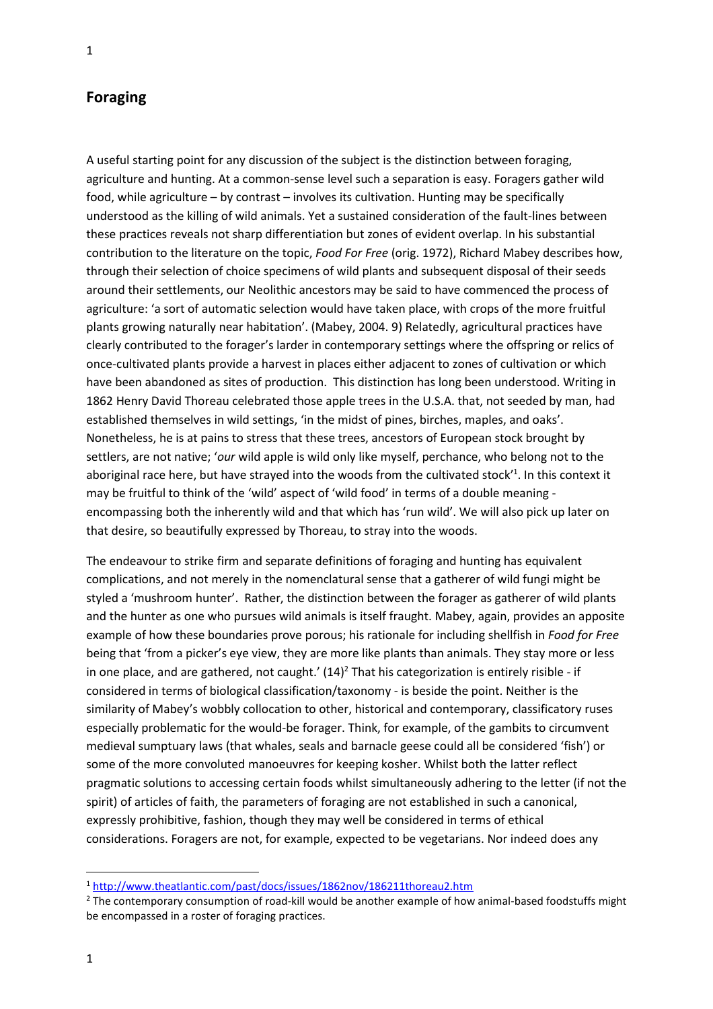## **Foraging**

A useful starting point for any discussion of the subject is the distinction between foraging, agriculture and hunting. At a common-sense level such a separation is easy. Foragers gather wild food, while agriculture – by contrast – involves its cultivation. Hunting may be specifically understood as the killing of wild animals. Yet a sustained consideration of the fault-lines between these practices reveals not sharp differentiation but zones of evident overlap. In his substantial contribution to the literature on the topic, *Food For Free* (orig. 1972), Richard Mabey describes how, through their selection of choice specimens of wild plants and subsequent disposal of their seeds around their settlements, our Neolithic ancestors may be said to have commenced the process of agriculture: 'a sort of automatic selection would have taken place, with crops of the more fruitful plants growing naturally near habitation'. (Mabey, 2004. 9) Relatedly, agricultural practices have clearly contributed to the forager's larder in contemporary settings where the offspring or relics of once-cultivated plants provide a harvest in places either adjacent to zones of cultivation or which have been abandoned as sites of production. This distinction has long been understood. Writing in 1862 Henry David Thoreau celebrated those apple trees in the U.S.A. that, not seeded by man, had established themselves in wild settings, 'in the midst of pines, birches, maples, and oaks'. Nonetheless, he is at pains to stress that these trees, ancestors of European stock brought by settlers, are not native; '*our* wild apple is wild only like myself, perchance, who belong not to the aboriginal race here, but have strayed into the woods from the cultivated stock'<sup>1</sup>. In this context it may be fruitful to think of the 'wild' aspect of 'wild food' in terms of a double meaning encompassing both the inherently wild and that which has 'run wild'. We will also pick up later on that desire, so beautifully expressed by Thoreau, to stray into the woods.

The endeavour to strike firm and separate definitions of foraging and hunting has equivalent complications, and not merely in the nomenclatural sense that a gatherer of wild fungi might be styled a 'mushroom hunter'. Rather, the distinction between the forager as gatherer of wild plants and the hunter as one who pursues wild animals is itself fraught. Mabey, again, provides an apposite example of how these boundaries prove porous; his rationale for including shellfish in *Food for Free* being that 'from a picker's eye view, they are more like plants than animals. They stay more or less in one place, and are gathered, not caught.'  $(14)<sup>2</sup>$  That his categorization is entirely risible - if considered in terms of biological classification/taxonomy - is beside the point. Neither is the similarity of Mabey's wobbly collocation to other, historical and contemporary, classificatory ruses especially problematic for the would-be forager. Think, for example, of the gambits to circumvent medieval sumptuary laws (that whales, seals and barnacle geese could all be considered 'fish') or some of the more convoluted manoeuvres for keeping kosher. Whilst both the latter reflect pragmatic solutions to accessing certain foods whilst simultaneously adhering to the letter (if not the spirit) of articles of faith, the parameters of foraging are not established in such a canonical, expressly prohibitive, fashion, though they may well be considered in terms of ethical considerations. Foragers are not, for example, expected to be vegetarians. Nor indeed does any

<sup>1</sup> <http://www.theatlantic.com/past/docs/issues/1862nov/186211thoreau2.htm>

<sup>&</sup>lt;sup>2</sup> The contemporary consumption of road-kill would be another example of how animal-based foodstuffs might be encompassed in a roster of foraging practices.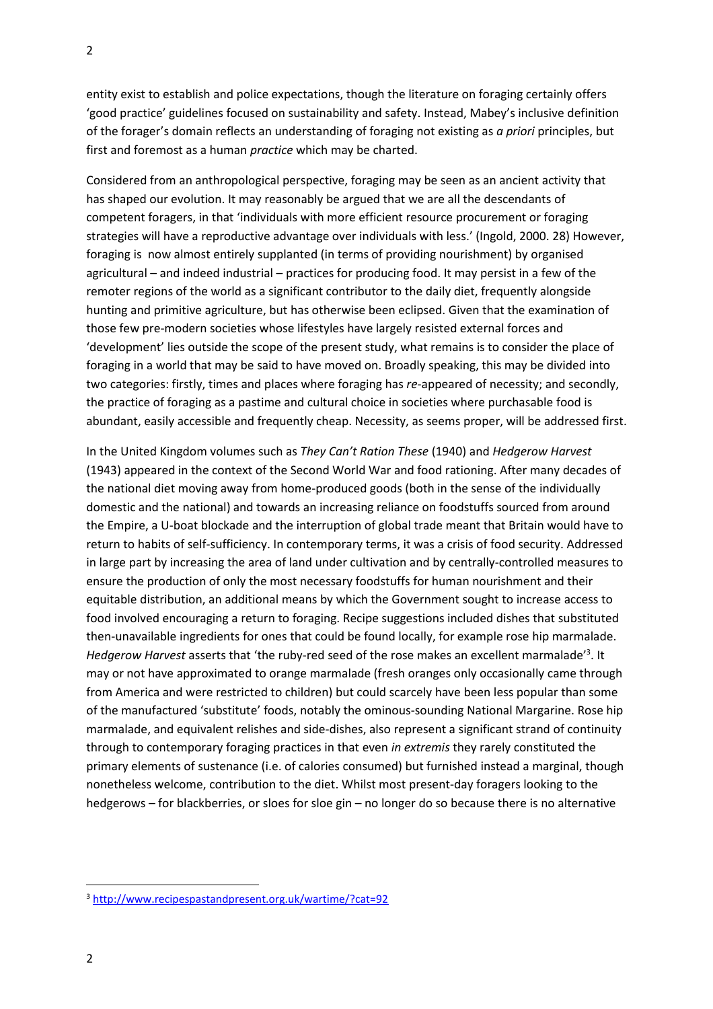entity exist to establish and police expectations, though the literature on foraging certainly offers 'good practice' guidelines focused on sustainability and safety. Instead, Mabey's inclusive definition of the forager's domain reflects an understanding of foraging not existing as *a priori* principles, but first and foremost as a human *practice* which may be charted.

Considered from an anthropological perspective, foraging may be seen as an ancient activity that has shaped our evolution. It may reasonably be argued that we are all the descendants of competent foragers, in that 'individuals with more efficient resource procurement or foraging strategies will have a reproductive advantage over individuals with less.' (Ingold, 2000. 28) However, foraging is now almost entirely supplanted (in terms of providing nourishment) by organised agricultural – and indeed industrial – practices for producing food. It may persist in a few of the remoter regions of the world as a significant contributor to the daily diet, frequently alongside hunting and primitive agriculture, but has otherwise been eclipsed. Given that the examination of those few pre-modern societies whose lifestyles have largely resisted external forces and 'development' lies outside the scope of the present study, what remains is to consider the place of foraging in a world that may be said to have moved on. Broadly speaking, this may be divided into two categories: firstly, times and places where foraging has *re*-appeared of necessity; and secondly, the practice of foraging as a pastime and cultural choice in societies where purchasable food is abundant, easily accessible and frequently cheap. Necessity, as seems proper, will be addressed first.

In the United Kingdom volumes such as *They Can't Ration These* (1940) and *Hedgerow Harvest* (1943) appeared in the context of the Second World War and food rationing. After many decades of the national diet moving away from home-produced goods (both in the sense of the individually domestic and the national) and towards an increasing reliance on foodstuffs sourced from around the Empire, a U-boat blockade and the interruption of global trade meant that Britain would have to return to habits of self-sufficiency. In contemporary terms, it was a crisis of food security. Addressed in large part by increasing the area of land under cultivation and by centrally-controlled measures to ensure the production of only the most necessary foodstuffs for human nourishment and their equitable distribution, an additional means by which the Government sought to increase access to food involved encouraging a return to foraging. Recipe suggestions included dishes that substituted then-unavailable ingredients for ones that could be found locally, for example rose hip marmalade. Hedgerow Harvest asserts that 'the ruby-red seed of the rose makes an excellent marmalade'<sup>3</sup>. It may or not have approximated to orange marmalade (fresh oranges only occasionally came through from America and were restricted to children) but could scarcely have been less popular than some of the manufactured 'substitute' foods, notably the ominous-sounding National Margarine. Rose hip marmalade, and equivalent relishes and side-dishes, also represent a significant strand of continuity through to contemporary foraging practices in that even *in extremis* they rarely constituted the primary elements of sustenance (i.e. of calories consumed) but furnished instead a marginal, though nonetheless welcome, contribution to the diet. Whilst most present-day foragers looking to the hedgerows – for blackberries, or sloes for sloe gin – no longer do so because there is no alternative

<sup>3</sup> <http://www.recipespastandpresent.org.uk/wartime/?cat=92>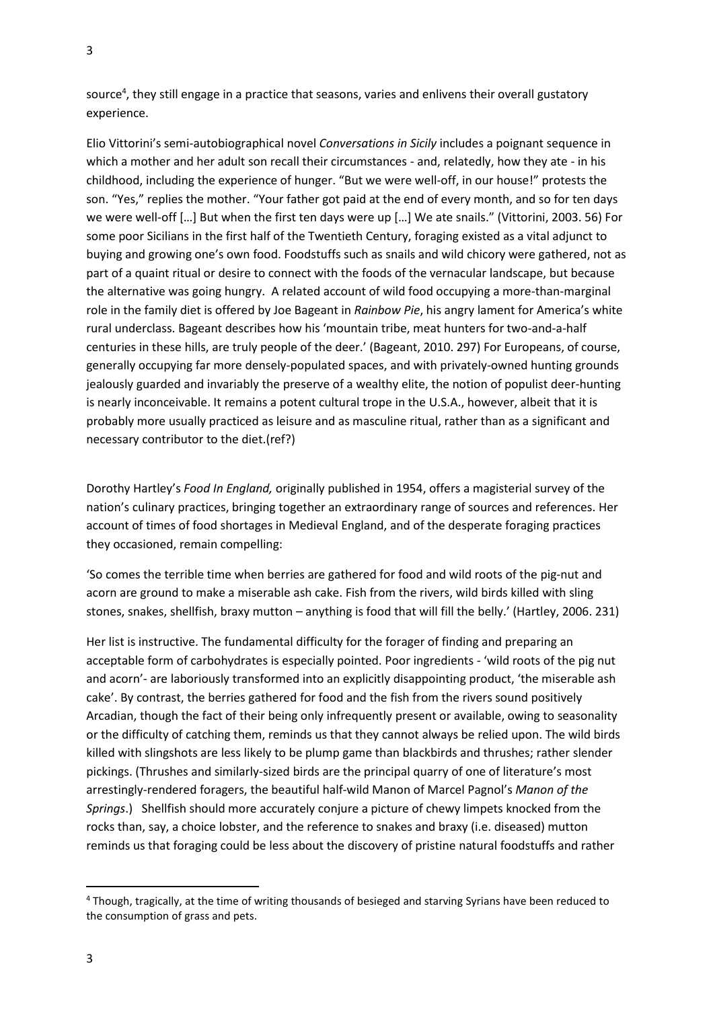source<sup>4</sup>, they still engage in a practice that seasons, varies and enlivens their overall gustatory experience.

Elio Vittorini's semi-autobiographical novel *Conversations in Sicily* includes a poignant sequence in which a mother and her adult son recall their circumstances - and, relatedly, how they ate - in his childhood, including the experience of hunger. "But we were well-off, in our house!" protests the son. "Yes," replies the mother. "Your father got paid at the end of every month, and so for ten days we were well-off […] But when the first ten days were up […] We ate snails." (Vittorini, 2003. 56) For some poor Sicilians in the first half of the Twentieth Century, foraging existed as a vital adjunct to buying and growing one's own food. Foodstuffs such as snails and wild chicory were gathered, not as part of a quaint ritual or desire to connect with the foods of the vernacular landscape, but because the alternative was going hungry. A related account of wild food occupying a more-than-marginal role in the family diet is offered by Joe Bageant in *Rainbow Pie*, his angry lament for America's white rural underclass. Bageant describes how his 'mountain tribe, meat hunters for two-and-a-half centuries in these hills, are truly people of the deer.' (Bageant, 2010. 297) For Europeans, of course, generally occupying far more densely-populated spaces, and with privately-owned hunting grounds jealously guarded and invariably the preserve of a wealthy elite, the notion of populist deer-hunting is nearly inconceivable. It remains a potent cultural trope in the U.S.A., however, albeit that it is probably more usually practiced as leisure and as masculine ritual, rather than as a significant and necessary contributor to the diet.(ref?)

Dorothy Hartley's *Food In England,* originally published in 1954, offers a magisterial survey of the nation's culinary practices, bringing together an extraordinary range of sources and references. Her account of times of food shortages in Medieval England, and of the desperate foraging practices they occasioned, remain compelling:

'So comes the terrible time when berries are gathered for food and wild roots of the pig-nut and acorn are ground to make a miserable ash cake. Fish from the rivers, wild birds killed with sling stones, snakes, shellfish, braxy mutton – anything is food that will fill the belly.' (Hartley, 2006. 231)

Her list is instructive. The fundamental difficulty for the forager of finding and preparing an acceptable form of carbohydrates is especially pointed. Poor ingredients - 'wild roots of the pig nut and acorn'- are laboriously transformed into an explicitly disappointing product, 'the miserable ash cake'. By contrast, the berries gathered for food and the fish from the rivers sound positively Arcadian, though the fact of their being only infrequently present or available, owing to seasonality or the difficulty of catching them, reminds us that they cannot always be relied upon. The wild birds killed with slingshots are less likely to be plump game than blackbirds and thrushes; rather slender pickings. (Thrushes and similarly-sized birds are the principal quarry of one of literature's most arrestingly-rendered foragers, the beautiful half-wild Manon of Marcel Pagnol's *Manon of the Springs*.) Shellfish should more accurately conjure a picture of chewy limpets knocked from the rocks than, say, a choice lobster, and the reference to snakes and braxy (i.e. diseased) mutton reminds us that foraging could be less about the discovery of pristine natural foodstuffs and rather

<sup>4</sup> Though, tragically, at the time of writing thousands of besieged and starving Syrians have been reduced to the consumption of grass and pets.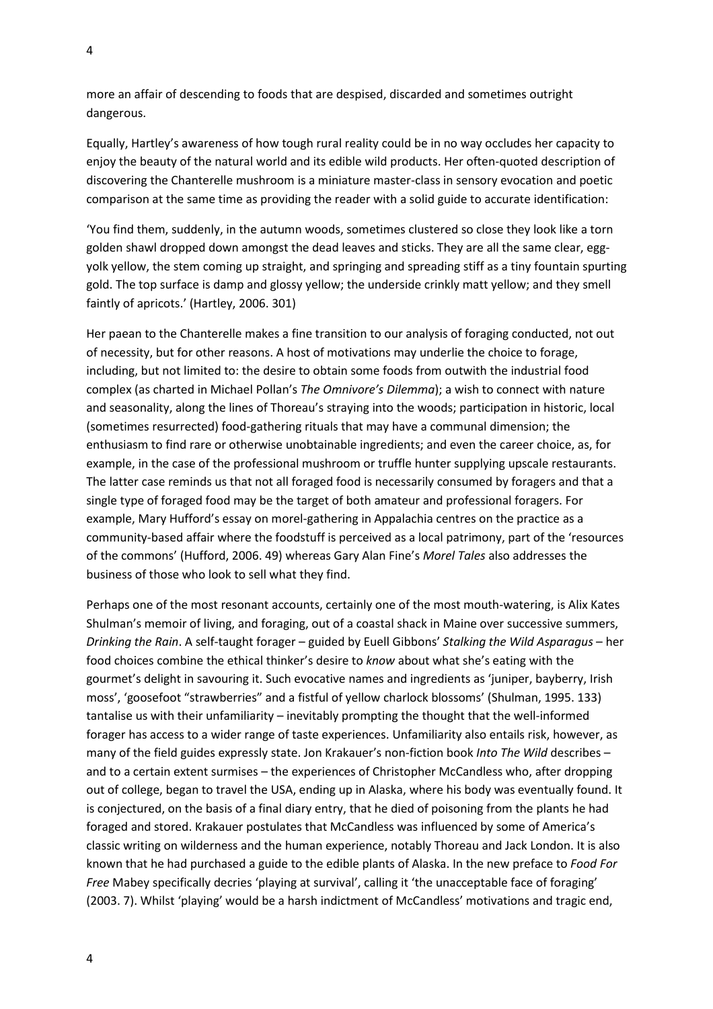more an affair of descending to foods that are despised, discarded and sometimes outright dangerous.

Equally, Hartley's awareness of how tough rural reality could be in no way occludes her capacity to enjoy the beauty of the natural world and its edible wild products. Her often-quoted description of discovering the Chanterelle mushroom is a miniature master-class in sensory evocation and poetic comparison at the same time as providing the reader with a solid guide to accurate identification:

'You find them, suddenly, in the autumn woods, sometimes clustered so close they look like a torn golden shawl dropped down amongst the dead leaves and sticks. They are all the same clear, eggyolk yellow, the stem coming up straight, and springing and spreading stiff as a tiny fountain spurting gold. The top surface is damp and glossy yellow; the underside crinkly matt yellow; and they smell faintly of apricots.' (Hartley, 2006. 301)

Her paean to the Chanterelle makes a fine transition to our analysis of foraging conducted, not out of necessity, but for other reasons. A host of motivations may underlie the choice to forage, including, but not limited to: the desire to obtain some foods from outwith the industrial food complex (as charted in Michael Pollan's *The Omnivore's Dilemma*); a wish to connect with nature and seasonality, along the lines of Thoreau's straying into the woods; participation in historic, local (sometimes resurrected) food-gathering rituals that may have a communal dimension; the enthusiasm to find rare or otherwise unobtainable ingredients; and even the career choice, as, for example, in the case of the professional mushroom or truffle hunter supplying upscale restaurants. The latter case reminds us that not all foraged food is necessarily consumed by foragers and that a single type of foraged food may be the target of both amateur and professional foragers. For example, Mary Hufford's essay on morel-gathering in Appalachia centres on the practice as a community-based affair where the foodstuff is perceived as a local patrimony, part of the 'resources of the commons' (Hufford, 2006. 49) whereas Gary Alan Fine's *Morel Tales* also addresses the business of those who look to sell what they find.

Perhaps one of the most resonant accounts, certainly one of the most mouth-watering, is Alix Kates Shulman's memoir of living, and foraging, out of a coastal shack in Maine over successive summers, *Drinking the Rain*. A self-taught forager – guided by Euell Gibbons' *Stalking the Wild Asparagus* – her food choices combine the ethical thinker's desire to *know* about what she's eating with the gourmet's delight in savouring it. Such evocative names and ingredients as 'juniper, bayberry, Irish moss', 'goosefoot "strawberries" and a fistful of yellow charlock blossoms' (Shulman, 1995. 133) tantalise us with their unfamiliarity – inevitably prompting the thought that the well-informed forager has access to a wider range of taste experiences. Unfamiliarity also entails risk, however, as many of the field guides expressly state. Jon Krakauer's non-fiction book *Into The Wild* describes – and to a certain extent surmises – the experiences of Christopher McCandless who, after dropping out of college, began to travel the USA, ending up in Alaska, where his body was eventually found. It is conjectured, on the basis of a final diary entry, that he died of poisoning from the plants he had foraged and stored. Krakauer postulates that McCandless was influenced by some of America's classic writing on wilderness and the human experience, notably Thoreau and Jack London. It is also known that he had purchased a guide to the edible plants of Alaska. In the new preface to *Food For Free* Mabey specifically decries 'playing at survival', calling it 'the unacceptable face of foraging' (2003. 7). Whilst 'playing' would be a harsh indictment of McCandless' motivations and tragic end,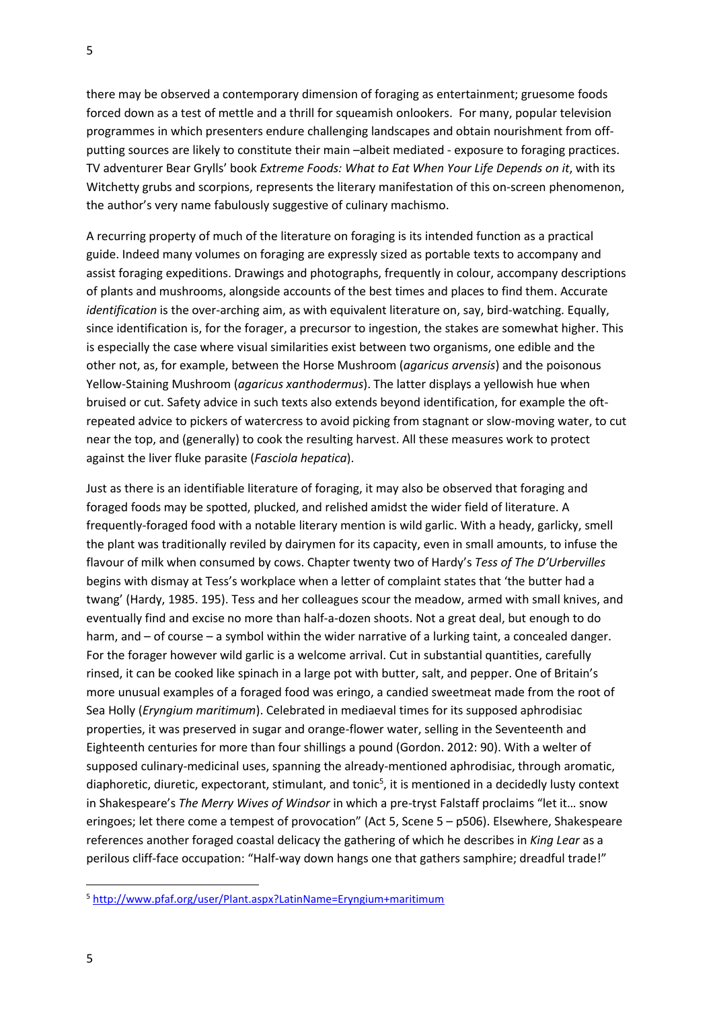there may be observed a contemporary dimension of foraging as entertainment; gruesome foods forced down as a test of mettle and a thrill for squeamish onlookers. For many, popular television programmes in which presenters endure challenging landscapes and obtain nourishment from offputting sources are likely to constitute their main –albeit mediated - exposure to foraging practices. TV adventurer Bear Grylls' book *Extreme Foods: What to Eat When Your Life Depends on it*, with its Witchetty grubs and scorpions, represents the literary manifestation of this on-screen phenomenon, the author's very name fabulously suggestive of culinary machismo.

A recurring property of much of the literature on foraging is its intended function as a practical guide. Indeed many volumes on foraging are expressly sized as portable texts to accompany and assist foraging expeditions. Drawings and photographs, frequently in colour, accompany descriptions of plants and mushrooms, alongside accounts of the best times and places to find them. Accurate *identification* is the over-arching aim, as with equivalent literature on, say, bird-watching. Equally, since identification is, for the forager, a precursor to ingestion, the stakes are somewhat higher. This is especially the case where visual similarities exist between two organisms, one edible and the other not, as, for example, between the Horse Mushroom (*agaricus arvensis*) and the poisonous Yellow-Staining Mushroom (*agaricus xanthodermus*). The latter displays a yellowish hue when bruised or cut. Safety advice in such texts also extends beyond identification, for example the oftrepeated advice to pickers of watercress to avoid picking from stagnant or slow-moving water, to cut near the top, and (generally) to cook the resulting harvest. All these measures work to protect against the liver fluke parasite (*Fasciola hepatica*).

Just as there is an identifiable literature of foraging, it may also be observed that foraging and foraged foods may be spotted, plucked, and relished amidst the wider field of literature. A frequently-foraged food with a notable literary mention is wild garlic. With a heady, garlicky, smell the plant was traditionally reviled by dairymen for its capacity, even in small amounts, to infuse the flavour of milk when consumed by cows. Chapter twenty two of Hardy's *Tess of The D'Urbervilles* begins with dismay at Tess's workplace when a letter of complaint states that 'the butter had a twang' (Hardy, 1985. 195). Tess and her colleagues scour the meadow, armed with small knives, and eventually find and excise no more than half-a-dozen shoots. Not a great deal, but enough to do harm, and – of course – a symbol within the wider narrative of a lurking taint, a concealed danger. For the forager however wild garlic is a welcome arrival. Cut in substantial quantities, carefully rinsed, it can be cooked like spinach in a large pot with butter, salt, and pepper. One of Britain's more unusual examples of a foraged food was eringo, a candied sweetmeat made from the root of Sea Holly (*Eryngium maritimum*). Celebrated in mediaeval times for its supposed aphrodisiac properties, it was preserved in sugar and orange-flower water, selling in the Seventeenth and Eighteenth centuries for more than four shillings a pound (Gordon. 2012: 90). With a welter of supposed culinary-medicinal uses, spanning the already-mentioned aphrodisiac, through aromatic, diaphoretic, diuretic, expectorant, stimulant, and tonic<sup>5</sup>, it is mentioned in a decidedly lusty context in Shakespeare's *The Merry Wives of Windsor* in which a pre-tryst Falstaff proclaims "let it… snow eringoes; let there come a tempest of provocation" (Act 5, Scene 5 – p506). Elsewhere, Shakespeare references another foraged coastal delicacy the gathering of which he describes in *King Lear* as a perilous cliff-face occupation: "Half-way down hangs one that gathers samphire; dreadful trade!"

<sup>5</sup> <http://www.pfaf.org/user/Plant.aspx?LatinName=Eryngium+maritimum>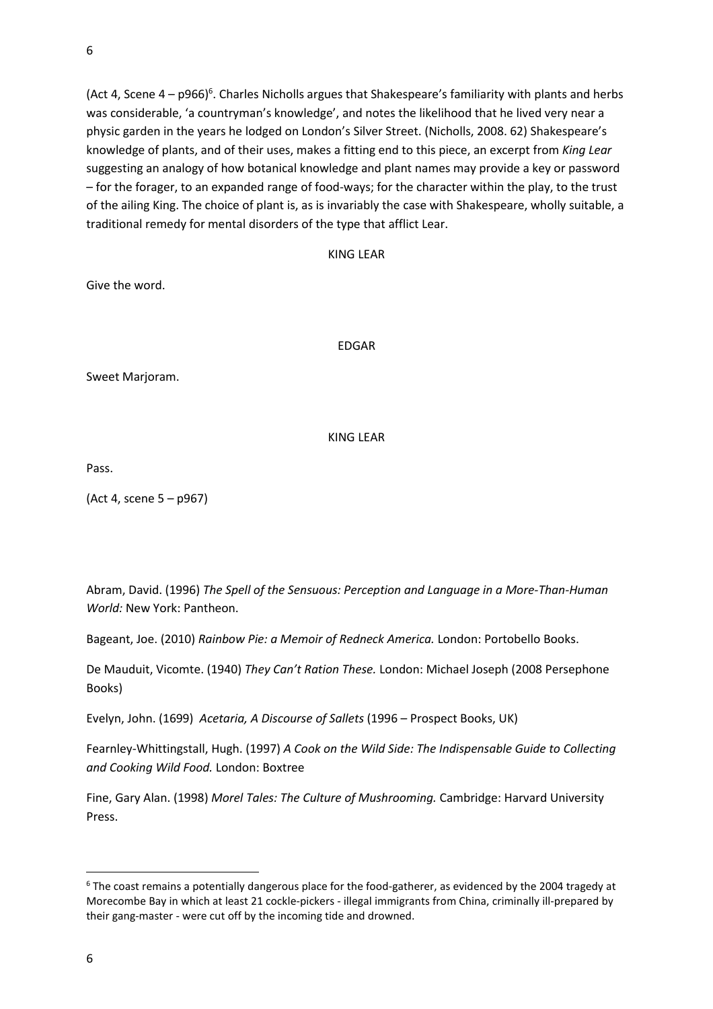(Act 4, Scene 4 – p966)<sup>6</sup>. Charles Nicholls argues that Shakespeare's familiarity with plants and herbs was considerable, 'a countryman's knowledge', and notes the likelihood that he lived very near a physic garden in the years he lodged on London's Silver Street. (Nicholls, 2008. 62) Shakespeare's knowledge of plants, and of their uses, makes a fitting end to this piece, an excerpt from *King Lear* suggesting an analogy of how botanical knowledge and plant names may provide a key or password – for the forager, to an expanded range of food-ways; for the character within the play, to the trust of the ailing King. The choice of plant is, as is invariably the case with Shakespeare, wholly suitable, a traditional remedy for mental disorders of the type that afflict Lear.

## KING LEAR

Give the word.

EDGAR

Sweet Marjoram.

## KING LEAR

Pass.

(Act 4, scene 5 – p967)

Abram, David. (1996) *The Spell of the Sensuous: Perception and Language in a More-Than-Human World:* New York: Pantheon.

Bageant, Joe. (2010) *Rainbow Pie: a Memoir of Redneck America.* London: Portobello Books.

De Mauduit, Vicomte. (1940) *They Can't Ration These.* London: Michael Joseph (2008 Persephone Books)

Evelyn, John. (1699) *Acetaria, A Discourse of Sallets* (1996 – Prospect Books, UK)

Fearnley-Whittingstall, Hugh. (1997) *A Cook on the Wild Side: The Indispensable Guide to Collecting and Cooking Wild Food.* London: Boxtree

Fine, Gary Alan. (1998) *Morel Tales: The Culture of Mushrooming.* Cambridge: Harvard University Press.

<sup>6</sup> The coast remains a potentially dangerous place for the food-gatherer, as evidenced by the 2004 tragedy at Morecombe Bay in which at least 21 cockle-pickers - illegal immigrants from China, criminally ill-prepared by their gang-master - were cut off by the incoming tide and drowned.